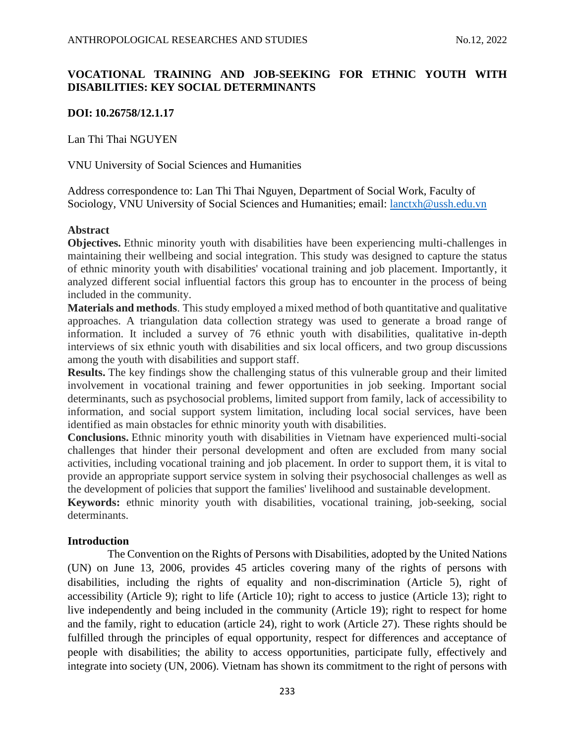# **VOCATIONAL TRAINING AND JOB-SEEKING FOR ETHNIC YOUTH WITH DISABILITIES: KEY SOCIAL DETERMINANTS**

### **DOI: 10.26758/12.1.17**

Lan Thi Thai NGUYEN

VNU University of Social Sciences and Humanities

Address correspondence to: Lan Thi Thai Nguyen, Department of Social Work, Faculty of Sociology, VNU University of Social Sciences and Humanities; email:  $lanctxh@ussh.edu.vn$ 

### **Abstract**

**Objectives.** Ethnic minority youth with disabilities have been experiencing multi-challenges in maintaining their wellbeing and social integration. This study was designed to capture the status of ethnic minority youth with disabilities' vocational training and job placement. Importantly, it analyzed different social influential factors this group has to encounter in the process of being included in the community.

**Materials and methods**. This study employed a mixed method of both quantitative and qualitative approaches. A triangulation data collection strategy was used to generate a broad range of information. It included a survey of 76 ethnic youth with disabilities, qualitative in-depth interviews of six ethnic youth with disabilities and six local officers, and two group discussions among the youth with disabilities and support staff.

**Results.** The key findings show the challenging status of this vulnerable group and their limited involvement in vocational training and fewer opportunities in job seeking. Important social determinants, such as psychosocial problems, limited support from family, lack of accessibility to information, and social support system limitation, including local social services, have been identified as main obstacles for ethnic minority youth with disabilities.

**Conclusions.** Ethnic minority youth with disabilities in Vietnam have experienced multi-social challenges that hinder their personal development and often are excluded from many social activities, including vocational training and job placement. In order to support them, it is vital to provide an appropriate support service system in solving their psychosocial challenges as well as the development of policies that support the families' livelihood and sustainable development.

**Keywords:** ethnic minority youth with disabilities, vocational training, job-seeking, social determinants.

### **Introduction**

The Convention on the Rights of Persons with Disabilities, adopted by the United Nations (UN) on June 13, 2006, provides 45 articles covering many of the rights of persons with disabilities, including the rights of equality and non-discrimination (Article 5), right of accessibility (Article 9); right to life (Article 10); right to access to justice (Article 13); right to live independently and being included in the community (Article 19); right to respect for home and the family, right to education (article 24), right to work (Article 27). These rights should be fulfilled through the principles of equal opportunity, respect for differences and acceptance of people with disabilities; the ability to access opportunities, participate fully, effectively and integrate into society (UN, 2006). Vietnam has shown its commitment to the right of persons with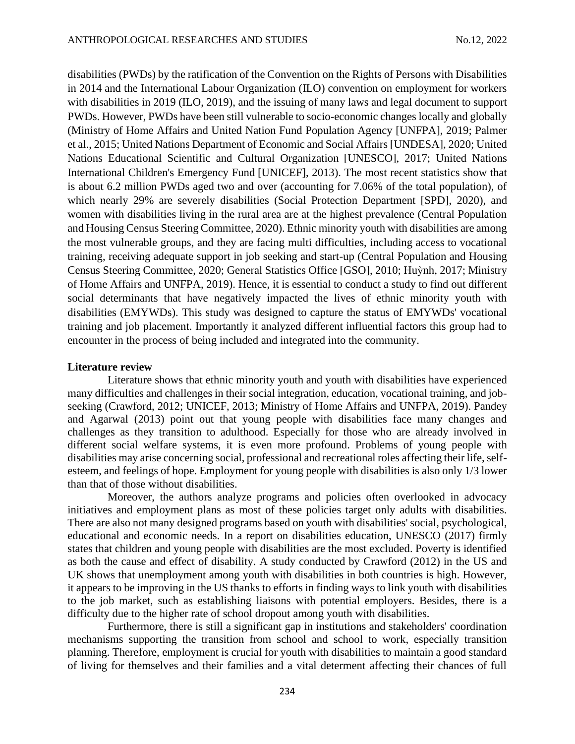disabilities (PWDs) by the ratification of the Convention on the Rights of Persons with Disabilities in 2014 and the International Labour Organization (ILO) convention on employment for workers with disabilities in 2019 (ILO, 2019), and the issuing of many laws and legal document to support PWDs. However, PWDs have been still vulnerable to socio-economic changes locally and globally (Ministry of Home Affairs and United Nation Fund Population Agency [UNFPA], 2019; Palmer et al., 2015; United Nations Department of Economic and Social Affairs [UNDESA], 2020; United Nations Educational Scientific and Cultural Organization [UNESCO], 2017; United Nations International Children's Emergency Fund [UNICEF], 2013). The most recent statistics show that is about 6.2 million PWDs aged two and over (accounting for 7.06% of the total population), of which nearly 29% are severely disabilities (Social Protection Department [SPD], 2020), and women with disabilities living in the rural area are at the highest prevalence (Central Population and Housing Census Steering Committee, 2020). Ethnic minority youth with disabilities are among the most vulnerable groups, and they are facing multi difficulties, including access to vocational training, receiving adequate support in job seeking and start-up (Central Population and Housing Census Steering Committee, 2020; General Statistics Office [GSO], 2010; Huỳnh, 2017; Ministry of Home Affairs and UNFPA, 2019). Hence, it is essential to conduct a study to find out different social determinants that have negatively impacted the lives of ethnic minority youth with disabilities (EMYWDs). This study was designed to capture the status of EMYWDs' vocational training and job placement. Importantly it analyzed different influential factors this group had to encounter in the process of being included and integrated into the community.

#### **Literature review**

Literature shows that ethnic minority youth and youth with disabilities have experienced many difficulties and challenges in their social integration, education, vocational training, and jobseeking (Crawford, 2012; UNICEF, 2013; Ministry of Home Affairs and UNFPA, 2019). Pandey and Agarwal (2013) point out that young people with disabilities face many changes and challenges as they transition to adulthood. Especially for those who are already involved in different social welfare systems, it is even more profound. Problems of young people with disabilities may arise concerning social, professional and recreational roles affecting their life, selfesteem, and feelings of hope. Employment for young people with disabilities is also only 1/3 lower than that of those without disabilities.

Moreover, the authors analyze programs and policies often overlooked in advocacy initiatives and employment plans as most of these policies target only adults with disabilities. There are also not many designed programs based on youth with disabilities' social, psychological, educational and economic needs. In a report on disabilities education, UNESCO (2017) firmly states that children and young people with disabilities are the most excluded. Poverty is identified as both the cause and effect of disability. A study conducted by Crawford (2012) in the US and UK shows that unemployment among youth with disabilities in both countries is high. However, it appears to be improving in the US thanks to efforts in finding ways to link youth with disabilities to the job market, such as establishing liaisons with potential employers. Besides, there is a difficulty due to the higher rate of school dropout among youth with disabilities.

Furthermore, there is still a significant gap in institutions and stakeholders' coordination mechanisms supporting the transition from school and school to work, especially transition planning. Therefore, employment is crucial for youth with disabilities to maintain a good standard of living for themselves and their families and a vital determent affecting their chances of full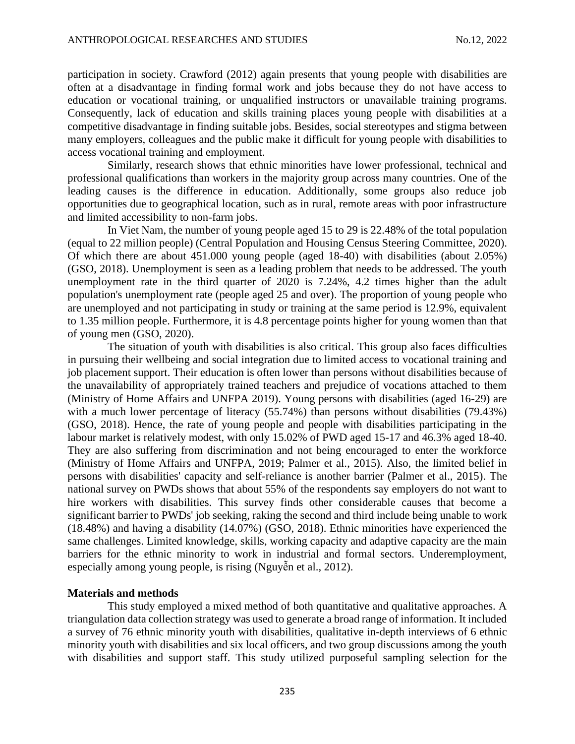participation in society. Crawford (2012) again presents that young people with disabilities are often at a disadvantage in finding formal work and jobs because they do not have access to education or vocational training, or unqualified instructors or unavailable training programs. Consequently, lack of education and skills training places young people with disabilities at a competitive disadvantage in finding suitable jobs. Besides, social stereotypes and stigma between many employers, colleagues and the public make it difficult for young people with disabilities to access vocational training and employment.

Similarly, research shows that ethnic minorities have lower professional, technical and professional qualifications than workers in the majority group across many countries. One of the leading causes is the difference in education. Additionally, some groups also reduce job opportunities due to geographical location, such as in rural, remote areas with poor infrastructure and limited accessibility to non-farm jobs.

In Viet Nam, the number of young people aged 15 to 29 is 22.48% of the total population (equal to 22 million people) (Central Population and Housing Census Steering Committee, 2020). Of which there are about 451.000 young people (aged 18-40) with disabilities (about 2.05%) (GSO, 2018). Unemployment is seen as a leading problem that needs to be addressed. The youth unemployment rate in the third quarter of 2020 is 7.24%, 4.2 times higher than the adult population's unemployment rate (people aged 25 and over). The proportion of young people who are unemployed and not participating in study or training at the same period is 12.9%, equivalent to 1.35 million people. Furthermore, it is 4.8 percentage points higher for young women than that of young men (GSO, 2020).

The situation of youth with disabilities is also critical. This group also faces difficulties in pursuing their wellbeing and social integration due to limited access to vocational training and job placement support. Their education is often lower than persons without disabilities because of the unavailability of appropriately trained teachers and prejudice of vocations attached to them (Ministry of Home Affairs and UNFPA 2019). Young persons with disabilities (aged 16-29) are with a much lower percentage of literacy (55.74%) than persons without disabilities (79.43%) (GSO, 2018). Hence, the rate of young people and people with disabilities participating in the labour market is relatively modest, with only 15.02% of PWD aged 15-17 and 46.3% aged 18-40. They are also suffering from discrimination and not being encouraged to enter the workforce (Ministry of Home Affairs and UNFPA, 2019; Palmer et al., 2015). Also, the limited belief in persons with disabilities' capacity and self-reliance is another barrier (Palmer et al., 2015). The national survey on PWDs shows that about 55% of the respondents say employers do not want to hire workers with disabilities. This survey finds other considerable causes that become a significant barrier to PWDs' job seeking, raking the second and third include being unable to work (18.48%) and having a disability (14.07%) (GSO, 2018). Ethnic minorities have experienced the same challenges. Limited knowledge, skills, working capacity and adaptive capacity are the main barriers for the ethnic minority to work in industrial and formal sectors. Underemployment, especially among young people, is rising (Nguyễn et al., 2012).

### **Materials and methods**

This study employed a mixed method of both quantitative and qualitative approaches. A triangulation data collection strategy was used to generate a broad range of information. It included a survey of 76 ethnic minority youth with disabilities, qualitative in-depth interviews of 6 ethnic minority youth with disabilities and six local officers, and two group discussions among the youth with disabilities and support staff. This study utilized purposeful sampling selection for the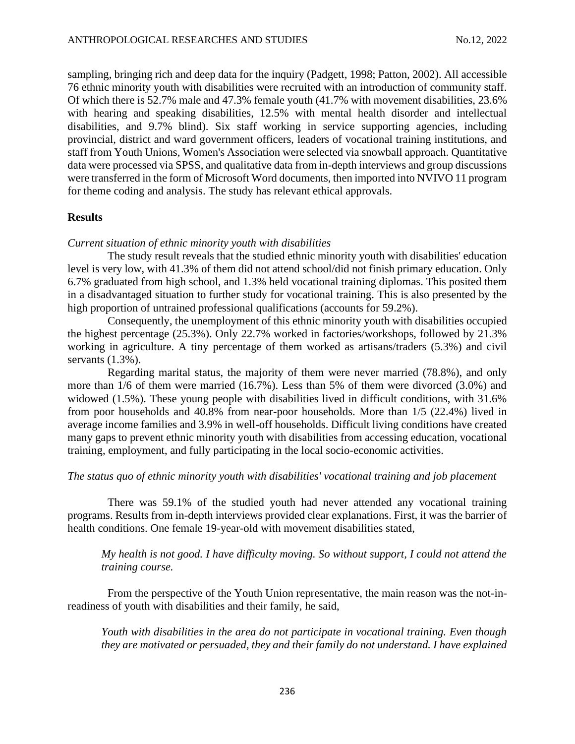sampling, bringing rich and deep data for the inquiry (Padgett, 1998; Patton, 2002). All accessible 76 ethnic minority youth with disabilities were recruited with an introduction of community staff. Of which there is 52.7% male and 47.3% female youth (41.7% with movement disabilities, 23.6% with hearing and speaking disabilities, 12.5% with mental health disorder and intellectual disabilities, and 9.7% blind). Six staff working in service supporting agencies, including provincial, district and ward government officers, leaders of vocational training institutions, and staff from Youth Unions, Women's Association were selected via snowball approach. Quantitative data were processed via SPSS, and qualitative data from in-depth interviews and group discussions were transferred in the form of Microsoft Word documents, then imported into NVIVO 11 program for theme coding and analysis. The study has relevant ethical approvals.

## **Results**

#### *Current situation of ethnic minority youth with disabilities*

The study result reveals that the studied ethnic minority youth with disabilities' education level is very low, with 41.3% of them did not attend school/did not finish primary education. Only 6.7% graduated from high school, and 1.3% held vocational training diplomas. This posited them in a disadvantaged situation to further study for vocational training. This is also presented by the high proportion of untrained professional qualifications (accounts for 59.2%).

Consequently, the unemployment of this ethnic minority youth with disabilities occupied the highest percentage (25.3%). Only 22.7% worked in factories/workshops, followed by 21.3% working in agriculture. A tiny percentage of them worked as artisans/traders (5.3%) and civil servants  $(1.3\%)$ .

Regarding marital status, the majority of them were never married (78.8%), and only more than 1/6 of them were married (16.7%). Less than 5% of them were divorced (3.0%) and widowed (1.5%). These young people with disabilities lived in difficult conditions, with 31.6% from poor households and 40.8% from near-poor households. More than 1/5 (22.4%) lived in average income families and 3.9% in well-off households. Difficult living conditions have created many gaps to prevent ethnic minority youth with disabilities from accessing education, vocational training, employment, and fully participating in the local socio-economic activities.

### *The status quo of ethnic minority youth with disabilities' vocational training and job placement*

There was 59.1% of the studied youth had never attended any vocational training programs. Results from in-depth interviews provided clear explanations. First, it was the barrier of health conditions. One female 19-year-old with movement disabilities stated,

*My health is not good. I have difficulty moving. So without support, I could not attend the training course.*

From the perspective of the Youth Union representative, the main reason was the not-inreadiness of youth with disabilities and their family, he said,

*Youth with disabilities in the area do not participate in vocational training. Even though they are motivated or persuaded, they and their family do not understand. I have explained*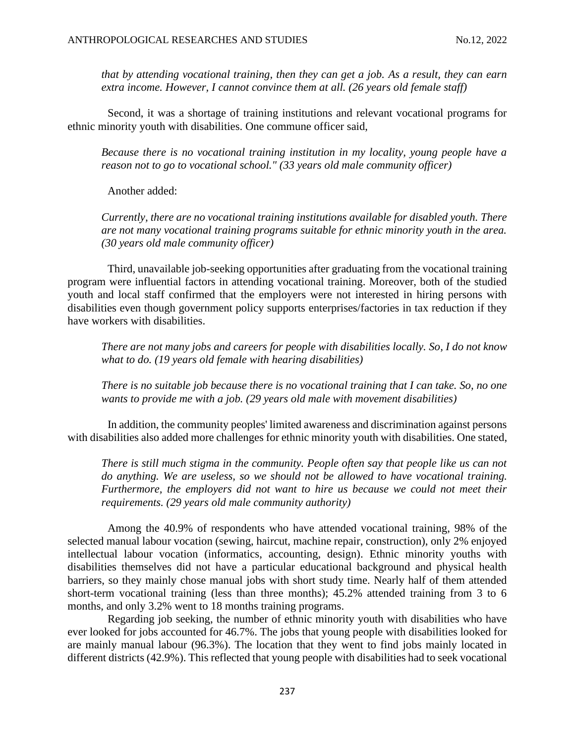*that by attending vocational training, then they can get a job. As a result, they can earn extra income. However, I cannot convince them at all. (26 years old female staff)*

Second, it was a shortage of training institutions and relevant vocational programs for ethnic minority youth with disabilities. One commune officer said,

*Because there is no vocational training institution in my locality, young people have a reason not to go to vocational school." (33 years old male community officer)*

Another added:

*Currently, there are no vocational training institutions available for disabled youth. There are not many vocational training programs suitable for ethnic minority youth in the area. (30 years old male community officer)*

Third, unavailable job-seeking opportunities after graduating from the vocational training program were influential factors in attending vocational training. Moreover, both of the studied youth and local staff confirmed that the employers were not interested in hiring persons with disabilities even though government policy supports enterprises/factories in tax reduction if they have workers with disabilities.

*There are not many jobs and careers for people with disabilities locally. So, I do not know what to do. (19 years old female with hearing disabilities)*

*There is no suitable job because there is no vocational training that I can take. So, no one wants to provide me with a job. (29 years old male with movement disabilities)*

In addition, the community peoples' limited awareness and discrimination against persons with disabilities also added more challenges for ethnic minority youth with disabilities. One stated,

*There is still much stigma in the community. People often say that people like us can not do anything. We are useless, so we should not be allowed to have vocational training. Furthermore, the employers did not want to hire us because we could not meet their requirements. (29 years old male community authority)*

Among the 40.9% of respondents who have attended vocational training, 98% of the selected manual labour vocation (sewing, haircut, machine repair, construction), only 2% enjoyed intellectual labour vocation (informatics, accounting, design). Ethnic minority youths with disabilities themselves did not have a particular educational background and physical health barriers, so they mainly chose manual jobs with short study time. Nearly half of them attended short-term vocational training (less than three months); 45.2% attended training from 3 to 6 months, and only 3.2% went to 18 months training programs.

Regarding job seeking, the number of ethnic minority youth with disabilities who have ever looked for jobs accounted for 46.7%. The jobs that young people with disabilities looked for are mainly manual labour (96.3%). The location that they went to find jobs mainly located in different districts (42.9%). This reflected that young people with disabilities had to seek vocational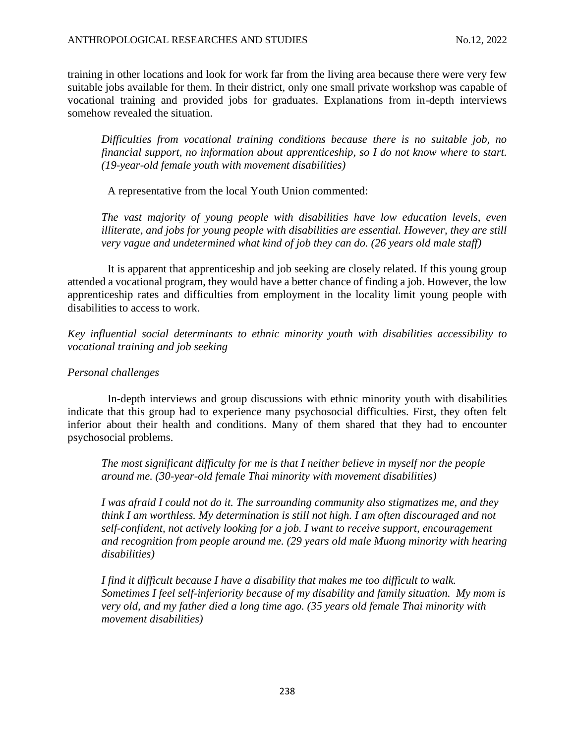training in other locations and look for work far from the living area because there were very few suitable jobs available for them. In their district, only one small private workshop was capable of vocational training and provided jobs for graduates. Explanations from in-depth interviews somehow revealed the situation.

*Difficulties from vocational training conditions because there is no suitable job, no financial support, no information about apprenticeship, so I do not know where to start. (19-year-old female youth with movement disabilities)*

A representative from the local Youth Union commented:

*The vast majority of young people with disabilities have low education levels, even illiterate, and jobs for young people with disabilities are essential. However, they are still very vague and undetermined what kind of job they can do. (26 years old male staff)* 

It is apparent that apprenticeship and job seeking are closely related. If this young group attended a vocational program, they would have a better chance of finding a job. However, the low apprenticeship rates and difficulties from employment in the locality limit young people with disabilities to access to work.

*Key influential social determinants to ethnic minority youth with disabilities accessibility to vocational training and job seeking*

# *Personal challenges*

In-depth interviews and group discussions with ethnic minority youth with disabilities indicate that this group had to experience many psychosocial difficulties. First, they often felt inferior about their health and conditions. Many of them shared that they had to encounter psychosocial problems.

*The most significant difficulty for me is that I neither believe in myself nor the people around me. (30-year-old female Thai minority with movement disabilities)*

*I was afraid I could not do it. The surrounding community also stigmatizes me, and they think I am worthless. My determination is still not high. I am often discouraged and not self-confident, not actively looking for a job. I want to receive support, encouragement and recognition from people around me. (29 years old male Muong minority with hearing disabilities)*

*I find it difficult because I have a disability that makes me too difficult to walk. Sometimes I feel self-inferiority because of my disability and family situation. My mom is very old, and my father died a long time ago. (35 years old female Thai minority with movement disabilities)*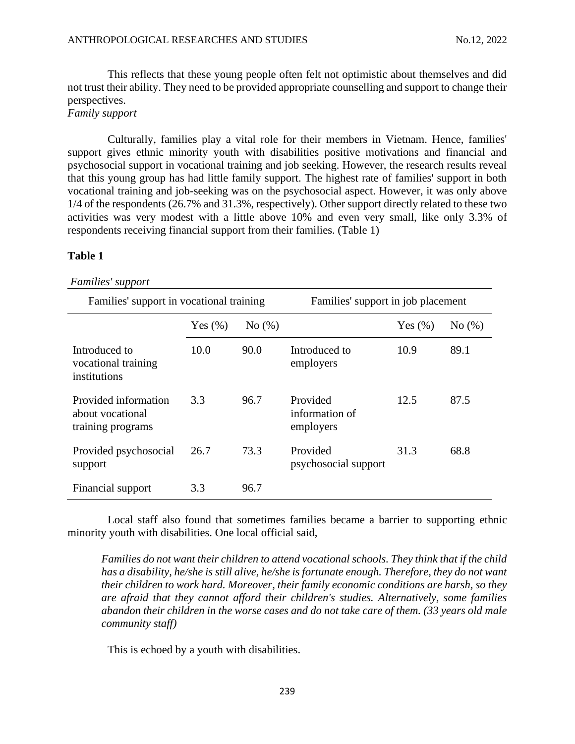This reflects that these young people often felt not optimistic about themselves and did not trust their ability. They need to be provided appropriate counselling and support to change their perspectives.

# *Family support*

Culturally, families play a vital role for their members in Vietnam. Hence, families' support gives ethnic minority youth with disabilities positive motivations and financial and psychosocial support in vocational training and job seeking. However, the research results reveal that this young group has had little family support. The highest rate of families' support in both vocational training and job-seeking was on the psychosocial aspect. However, it was only above 1/4 of the respondents (26.7% and 31.3%, respectively). Other support directly related to these two activities was very modest with a little above 10% and even very small, like only 3.3% of respondents receiving financial support from their families. (Table 1)

#### **Table 1**

#### *Families' support*

| Families' support in vocational training                      |            |       | Families' support in job placement      |            |       |  |
|---------------------------------------------------------------|------------|-------|-----------------------------------------|------------|-------|--|
|                                                               | Yes $(\%)$ | No(%) |                                         | Yes $(\%)$ | No(%) |  |
| Introduced to<br>vocational training<br>institutions          | 10.0       | 90.0  | Introduced to<br>employers              | 10.9       | 89.1  |  |
| Provided information<br>about vocational<br>training programs | 3.3        | 96.7  | Provided<br>information of<br>employers | 12.5       | 87.5  |  |
| Provided psychosocial<br>support                              | 26.7       | 73.3  | Provided<br>psychosocial support        | 31.3       | 68.8  |  |
| Financial support                                             | 3.3        | 96.7  |                                         |            |       |  |

Local staff also found that sometimes families became a barrier to supporting ethnic minority youth with disabilities. One local official said,

*Families do not want their children to attend vocational schools. They think that if the child has a disability, he/she is still alive, he/she is fortunate enough. Therefore, they do not want their children to work hard. Moreover, their family economic conditions are harsh, so they are afraid that they cannot afford their children's studies. Alternatively, some families abandon their children in the worse cases and do not take care of them. (33 years old male community staff)*

This is echoed by a youth with disabilities.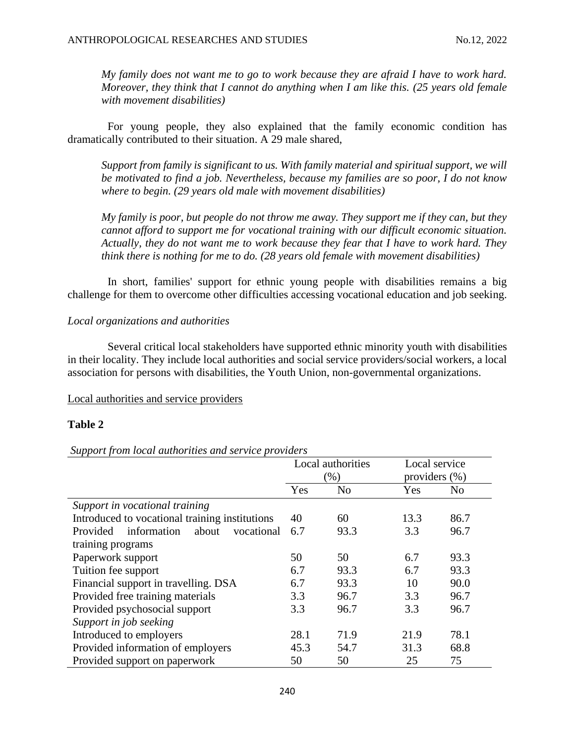*My family does not want me to go to work because they are afraid I have to work hard. Moreover, they think that I cannot do anything when I am like this. (25 years old female with movement disabilities)*

For young people, they also explained that the family economic condition has dramatically contributed to their situation. A 29 male shared,

*Support from family is significant to us. With family material and spiritual support, we will be motivated to find a job. Nevertheless, because my families are so poor, I do not know where to begin. (29 years old male with movement disabilities)*

*My family is poor, but people do not throw me away. They support me if they can, but they cannot afford to support me for vocational training with our difficult economic situation. Actually, they do not want me to work because they fear that I have to work hard. They think there is nothing for me to do. (28 years old female with movement disabilities)*

In short, families' support for ethnic young people with disabilities remains a big challenge for them to overcome other difficulties accessing vocational education and job seeking.

# *Local organizations and authorities*

Several critical local stakeholders have supported ethnic minority youth with disabilities in their locality. They include local authorities and social service providers/social workers, a local association for persons with disabilities, the Youth Union, non-governmental organizations.

### Local authorities and service providers

# **Table 2**

### *Support from local authorities and service providers*

|                                                       | Local authorities<br>$(\% )$ |                | Local service    |                |
|-------------------------------------------------------|------------------------------|----------------|------------------|----------------|
|                                                       |                              |                | providers $(\%)$ |                |
|                                                       | Yes                          | N <sub>0</sub> | Yes              | N <sub>0</sub> |
| Support in vocational training                        |                              |                |                  |                |
| Introduced to vocational training institutions        | 40                           | 60             | 13.3             | 86.7           |
| information<br><b>Provided</b><br>about<br>vocational | 6.7                          | 93.3           | 3.3              | 96.7           |
| training programs                                     |                              |                |                  |                |
| Paperwork support                                     | 50                           | 50             | 6.7              | 93.3           |
| Tuition fee support                                   | 6.7                          | 93.3           | 6.7              | 93.3           |
| Financial support in travelling. DSA                  | 6.7                          | 93.3           | 10               | 90.0           |
| Provided free training materials                      | 3.3                          | 96.7           | 3.3              | 96.7           |
| Provided psychosocial support                         | 3.3                          | 96.7           | 3.3              | 96.7           |
| Support in job seeking                                |                              |                |                  |                |
| Introduced to employers                               | 28.1                         | 71.9           | 21.9             | 78.1           |
| Provided information of employers                     | 45.3                         | 54.7           | 31.3             | 68.8           |
| Provided support on paperwork                         | 50                           | 50             | 25               | 75             |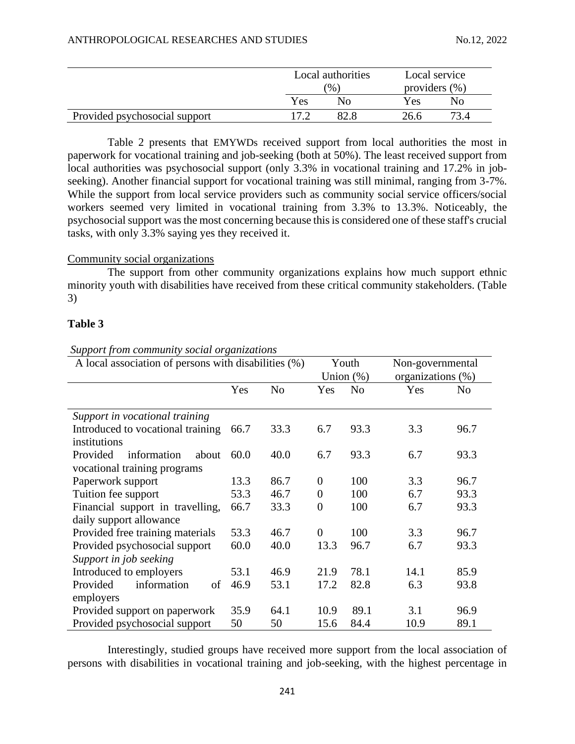|                               |        | Local authorities<br>$\frac{9}{6}$ |      | Local service<br>providers $(\% )$ |  |
|-------------------------------|--------|------------------------------------|------|------------------------------------|--|
|                               | Yes    | Nο                                 | Yes  | No                                 |  |
| Provided psychosocial support | $\sim$ |                                    | 26.6 |                                    |  |

Table 2 presents that EMYWDs received support from local authorities the most in paperwork for vocational training and job-seeking (both at 50%). The least received support from local authorities was psychosocial support (only 3.3% in vocational training and 17.2% in jobseeking). Another financial support for vocational training was still minimal, ranging from 3-7%. While the support from local service providers such as community social service officers/social workers seemed very limited in vocational training from 3.3% to 13.3%. Noticeably, the psychosocial support was the most concerning because this is considered one of these staff's crucial tasks, with only 3.3% saying yes they received it.

## Community social organizations

The support from other community organizations explains how much support ethnic minority youth with disabilities have received from these critical community stakeholders. (Table 3)

## **Table 3**

| A local association of persons with disabilities (%) |      |                | Youth<br>Union $(\%)$ |                | Non-governmental<br>organizations (%) |                |
|------------------------------------------------------|------|----------------|-----------------------|----------------|---------------------------------------|----------------|
|                                                      | Yes  | N <sub>o</sub> | Yes                   | N <sub>o</sub> | Yes                                   | N <sub>0</sub> |
| Support in vocational training                       |      |                |                       |                |                                       |                |
| Introduced to vocational training                    | 66.7 | 33.3           | 6.7                   | 93.3           | 3.3                                   | 96.7           |
| institutions                                         |      |                |                       |                |                                       |                |
| Provided<br>information<br>about                     | 60.0 | 40.0           | 6.7                   | 93.3           | 6.7                                   | 93.3           |
| vocational training programs                         |      |                |                       |                |                                       |                |
| Paperwork support                                    | 13.3 | 86.7           | $\theta$              | 100            | 3.3                                   | 96.7           |
| Tuition fee support                                  | 53.3 | 46.7           | $\boldsymbol{0}$      | 100            | 6.7                                   | 93.3           |
| Financial support in travelling,                     | 66.7 | 33.3           | $\boldsymbol{0}$      | 100            | 6.7                                   | 93.3           |
| daily support allowance                              |      |                |                       |                |                                       |                |
| Provided free training materials                     | 53.3 | 46.7           | $\overline{0}$        | 100            | 3.3                                   | 96.7           |
| Provided psychosocial support                        | 60.0 | 40.0           | 13.3                  | 96.7           | 6.7                                   | 93.3           |
| Support in job seeking                               |      |                |                       |                |                                       |                |
| Introduced to employers                              | 53.1 | 46.9           | 21.9                  | 78.1           | 14.1                                  | 85.9           |
| information<br>Provided<br>of                        | 46.9 | 53.1           | 17.2                  | 82.8           | 6.3                                   | 93.8           |
| employers                                            |      |                |                       |                |                                       |                |
| Provided support on paperwork                        | 35.9 | 64.1           | 10.9                  | 89.1           | 3.1                                   | 96.9           |
| Provided psychosocial support                        | 50   | 50             | 15.6                  | 84.4           | 10.9                                  | 89.1           |

# *Support from community social organizations*

Interestingly, studied groups have received more support from the local association of persons with disabilities in vocational training and job-seeking, with the highest percentage in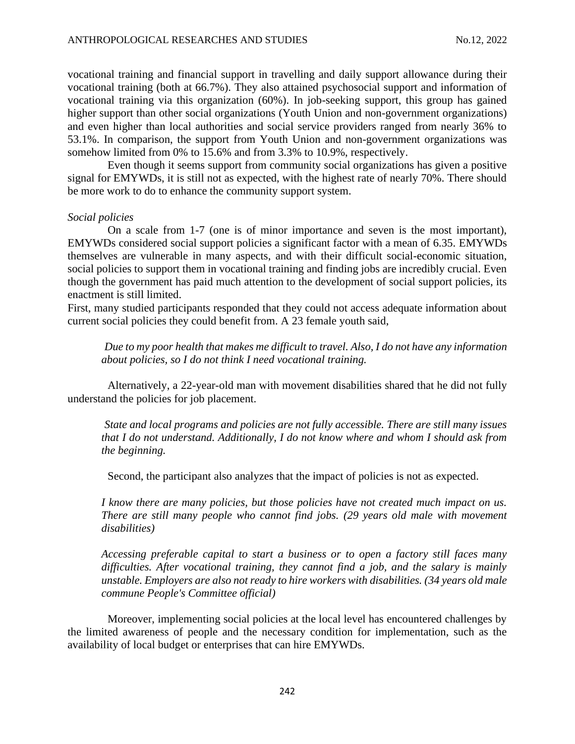vocational training and financial support in travelling and daily support allowance during their vocational training (both at 66.7%). They also attained psychosocial support and information of vocational training via this organization (60%). In job-seeking support, this group has gained higher support than other social organizations (Youth Union and non-government organizations) and even higher than local authorities and social service providers ranged from nearly 36% to 53.1%. In comparison, the support from Youth Union and non-government organizations was somehow limited from 0% to 15.6% and from 3.3% to 10.9%, respectively.

Even though it seems support from community social organizations has given a positive signal for EMYWDs, it is still not as expected, with the highest rate of nearly 70%. There should be more work to do to enhance the community support system.

#### *Social policies*

On a scale from 1-7 (one is of minor importance and seven is the most important), EMYWDs considered social support policies a significant factor with a mean of 6.35. EMYWDs themselves are vulnerable in many aspects, and with their difficult social-economic situation, social policies to support them in vocational training and finding jobs are incredibly crucial. Even though the government has paid much attention to the development of social support policies, its enactment is still limited.

First, many studied participants responded that they could not access adequate information about current social policies they could benefit from. A 23 female youth said,

*Due to my poor health that makes me difficult to travel. Also, I do not have any information about policies, so I do not think I need vocational training.*

Alternatively, a 22-year-old man with movement disabilities shared that he did not fully understand the policies for job placement.

*State and local programs and policies are not fully accessible. There are still many issues that I do not understand. Additionally, I do not know where and whom I should ask from the beginning.*

Second, the participant also analyzes that the impact of policies is not as expected.

*I know there are many policies, but those policies have not created much impact on us. There are still many people who cannot find jobs. (29 years old male with movement disabilities)*

*Accessing preferable capital to start a business or to open a factory still faces many difficulties. After vocational training, they cannot find a job, and the salary is mainly unstable. Employers are also not ready to hire workers with disabilities. (34 years old male commune People's Committee official)*

Moreover, implementing social policies at the local level has encountered challenges by the limited awareness of people and the necessary condition for implementation, such as the availability of local budget or enterprises that can hire EMYWDs.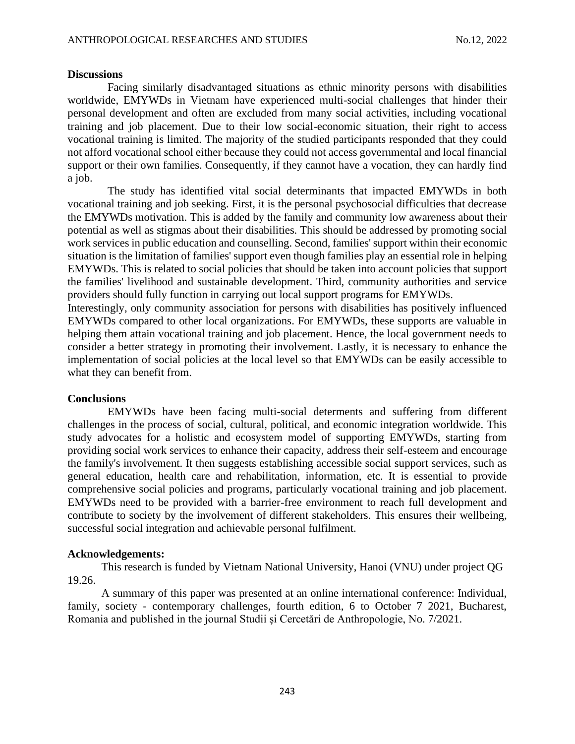#### **Discussions**

Facing similarly disadvantaged situations as ethnic minority persons with disabilities worldwide, EMYWDs in Vietnam have experienced multi-social challenges that hinder their personal development and often are excluded from many social activities, including vocational training and job placement. Due to their low social-economic situation, their right to access vocational training is limited. The majority of the studied participants responded that they could not afford vocational school either because they could not access governmental and local financial support or their own families. Consequently, if they cannot have a vocation, they can hardly find a job.

The study has identified vital social determinants that impacted EMYWDs in both vocational training and job seeking. First, it is the personal psychosocial difficulties that decrease the EMYWDs motivation. This is added by the family and community low awareness about their potential as well as stigmas about their disabilities. This should be addressed by promoting social work services in public education and counselling. Second, families' support within their economic situation is the limitation of families' support even though families play an essential role in helping EMYWDs. This is related to social policies that should be taken into account policies that support the families' livelihood and sustainable development. Third, community authorities and service providers should fully function in carrying out local support programs for EMYWDs.

Interestingly, only community association for persons with disabilities has positively influenced EMYWDs compared to other local organizations. For EMYWDs, these supports are valuable in helping them attain vocational training and job placement. Hence, the local government needs to consider a better strategy in promoting their involvement. Lastly, it is necessary to enhance the implementation of social policies at the local level so that EMYWDs can be easily accessible to what they can benefit from.

### **Conclusions**

EMYWDs have been facing multi-social determents and suffering from different challenges in the process of social, cultural, political, and economic integration worldwide. This study advocates for a holistic and ecosystem model of supporting EMYWDs, starting from providing social work services to enhance their capacity, address their self-esteem and encourage the family's involvement. It then suggests establishing accessible social support services, such as general education, health care and rehabilitation, information, etc. It is essential to provide comprehensive social policies and programs, particularly vocational training and job placement. EMYWDs need to be provided with a barrier-free environment to reach full development and contribute to society by the involvement of different stakeholders. This ensures their wellbeing, successful social integration and achievable personal fulfilment.

### **Acknowledgements:**

This research is funded by Vietnam National University, Hanoi (VNU) under project QG 19.26.

A summary of this paper was presented at an online international conference: Individual, family, society - contemporary challenges, fourth edition, 6 to October 7 2021, Bucharest, Romania and published in the journal Studii şi Cercetări de Anthropologie, No. 7/2021.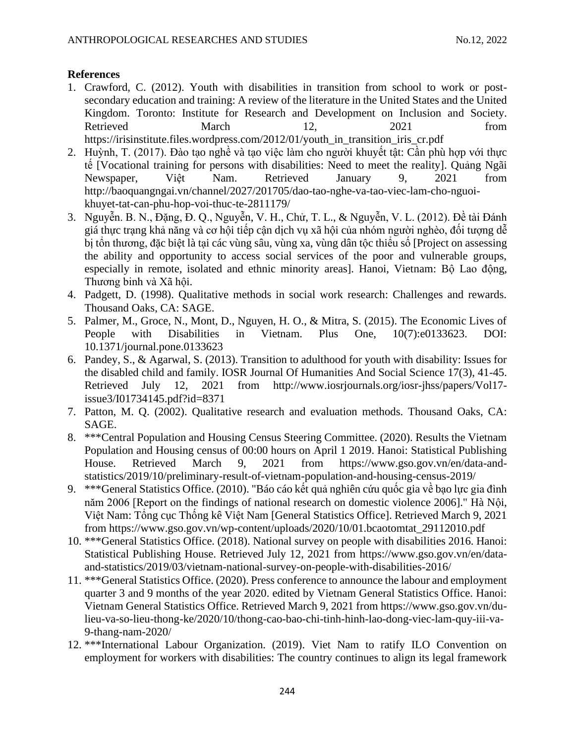# **References**

- 1. Crawford, C. (2012). Youth with disabilities in transition from school to work or postsecondary education and training: A review of the literature in the United States and the United Kingdom. Toronto: Institute for Research and Development on Inclusion and Society. Retrieved March 12, 2021 from [https://irisinstitute.files.wordpress.com/2012/01/youth\\_in\\_transition\\_iris\\_cr.pdf](https://irisinstitute.files.wordpress.com/2012/01/youth_in_transition_iris_cr.pdf)
- 2. Huỳnh, T. (2017). Đào tạo nghề và tạo việc làm cho người khuyết tật: Cần phù hợp với thực tế [Vocational training for persons with disabilities: Need to meet the reality]. Quảng Ngãi Newspaper, Việt Nam. Retrieved January 9, 2021 from http://baoquangngai.vn/channel/2027/201705/dao-tao-nghe-va-tao-viec-lam-cho-nguoikhuyet-tat-can-phu-hop-voi-thuc-te-2811179/
- 3. Nguyễn. B. N., Đặng, Đ. Q., Nguyễn, V. H., Chử, T. L., & Nguyễn, V. L. (2012). Đề tài Đánh giá thực trạng khả năng và cơ hội tiếp cận dịch vụ xã hội của nhóm người nghèo, đối tượng dễ bị tổn thương, đặc biệt là tại các vùng sâu, vùng xa, vùng dân tộc thiểu số [Project on assessing the ability and opportunity to access social services of the poor and vulnerable groups, especially in remote, isolated and ethnic minority areas]. Hanoi, Vietnam: Bô Lao đông, Thương binh và Xã hội.
- 4. Padgett, D. (1998). Qualitative methods in social work research: Challenges and rewards. Thousand Oaks, CA: SAGE.
- 5. Palmer, M., Groce, N., Mont, D., Nguyen, H. O., & Mitra, S. (2015). The Economic Lives of People with Disabilities in Vietnam. Plus One, 10(7):e0133623. DOI: 10.1371/journal.pone.0133623
- 6. Pandey, S., & Agarwal, S. (2013). Transition to adulthood for youth with disability: Issues for the disabled child and family. IOSR Journal Of Humanities And Social Science 17(3), 41-45. Retrieved July 12, 2021 from [http://www.iosrjournals.org/iosr-jhss/papers/Vol17](http://www.iosrjournals.org/iosr-jhss/papers/Vol17-issue3/I01734145.pdf?id=8371) [issue3/I01734145.pdf?id=8371](http://www.iosrjournals.org/iosr-jhss/papers/Vol17-issue3/I01734145.pdf?id=8371)
- 7. Patton, M. Q. (2002). Qualitative research and evaluation methods. Thousand Oaks, CA: SAGE.
- 8. \*\*\*Central Population and Housing Census Steering Committee. (2020). Results the Vietnam Population and Housing census of 00:00 hours on April 1 2019. Hanoi: Statistical Publishing House. Retrieved March 9, 2021 from https://www.gso.gov.vn/en/data-andstatistics/2019/10/preliminary-result-of-vietnam-population-and-housing-census-2019/
- 9. \*\*\*General Statistics Office. (2010). "Báo cáo kết quả nghiên cứu quốc gia về bạo lực gia đình năm 2006 [Report on the findings of national research on domestic violence 2006]." Hà Nội, Việt Nam: Tổng cục Thống kê Việt Nam [General Statistics Office]. Retrieved March 9, 2021 from https://www.gso.gov.vn/wp-content/uploads/2020/10/01.bcaotomtat\_29112010.pdf
- 10. \*\*\*General Statistics Office. (2018). National survey on people with disabilities 2016. Hanoi: Statistical Publishing House. Retrieved July 12, 2021 from [https://www.gso.gov.vn/en/data](https://www.gso.gov.vn/en/data-and-statistics/2019/03/vietnam-national-survey-on-people-with-disabilities-2016/)[and-statistics/2019/03/vietnam-national-survey-on-people-with-disabilities-2016/](https://www.gso.gov.vn/en/data-and-statistics/2019/03/vietnam-national-survey-on-people-with-disabilities-2016/)
- 11. \*\*\*General Statistics Office. (2020). Press conference to announce the labour and employment quarter 3 and 9 months of the year 2020. edited by Vietnam General Statistics Office. Hanoi: Vietnam General Statistics Office. Retrieved March 9, 2021 from https://www.gso.gov.vn/dulieu-va-so-lieu-thong-ke/2020/10/thong-cao-bao-chi-tinh-hinh-lao-dong-viec-lam-quy-iii-va-9-thang-nam-2020/
- 12. \*\*\*International Labour Organization. (2019). Viet Nam to ratify ILO Convention on employment for workers with disabilities: The country continues to align its legal framework